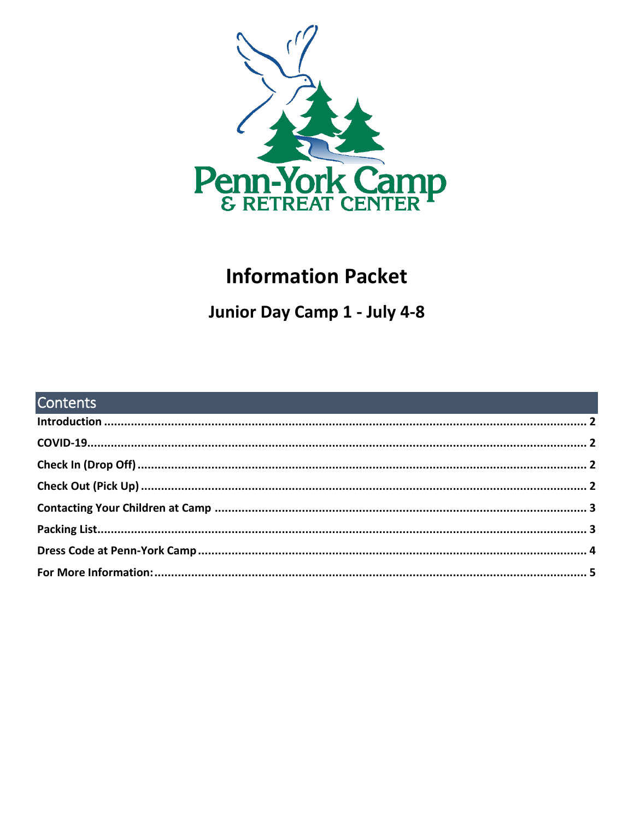

# **Information Packet**

# Junior Day Camp 1 - July 4-8

| <b>Contents Contents Contents Contents Contents and Contents and Contents and Contents and Contents and Contents and Contents and Contents and Contents and Contents and Contents and Contents and Contents and Contents</b> |  |
|------------------------------------------------------------------------------------------------------------------------------------------------------------------------------------------------------------------------------|--|
|                                                                                                                                                                                                                              |  |
|                                                                                                                                                                                                                              |  |
|                                                                                                                                                                                                                              |  |
|                                                                                                                                                                                                                              |  |
|                                                                                                                                                                                                                              |  |
|                                                                                                                                                                                                                              |  |
|                                                                                                                                                                                                                              |  |
|                                                                                                                                                                                                                              |  |
|                                                                                                                                                                                                                              |  |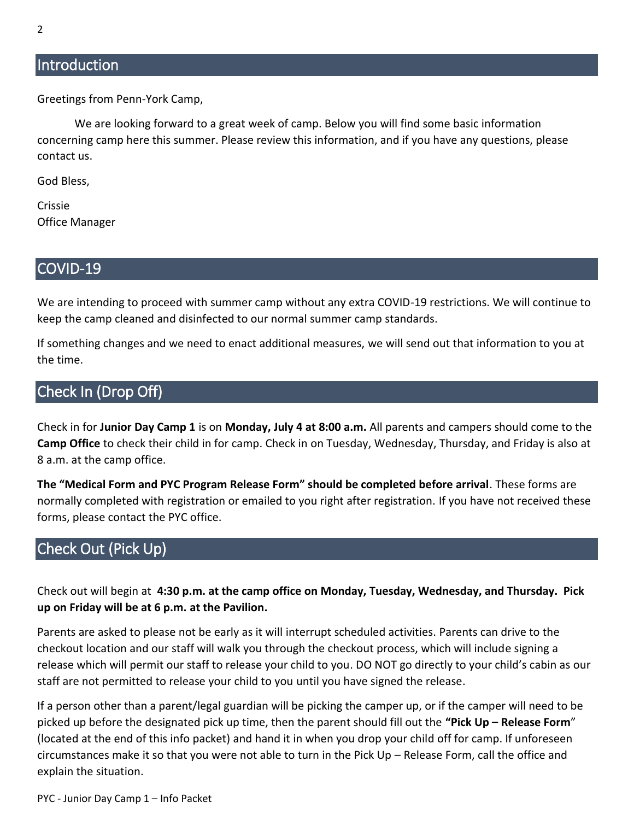## <span id="page-1-0"></span>**Introduction**

Greetings from Penn-York Camp,

We are looking forward to a great week of camp. Below you will find some basic information concerning camp here this summer. Please review this information, and if you have any questions, please contact us.

God Bless,

Crissie Office Manager

#### <span id="page-1-1"></span>COVID-19

We are intending to proceed with summer camp without any extra COVID-19 restrictions. We will continue to keep the camp cleaned and disinfected to our normal summer camp standards.

If something changes and we need to enact additional measures, we will send out that information to you at the time.

### <span id="page-1-2"></span>Check In (Drop Off)

Check in for **Junior Day Camp 1** is on **Monday, July 4 at 8:00 a.m.** All parents and campers should come to the **Camp Office** to check their child in for camp. Check in on Tuesday, Wednesday, Thursday, and Friday is also at 8 a.m. at the camp office.

**The "Medical Form and PYC Program Release Form" should be completed before arrival**. These forms are normally completed with registration or emailed to you right after registration. If you have not received these forms, please contact the PYC office.

## <span id="page-1-3"></span>Check Out (Pick Up)

Check out will begin at **4:30 p.m. at the camp office on Monday, Tuesday, Wednesday, and Thursday. Pick up on Friday will be at 6 p.m. at the Pavilion.**

Parents are asked to please not be early as it will interrupt scheduled activities. Parents can drive to the checkout location and our staff will walk you through the checkout process, which will include signing a release which will permit our staff to release your child to you. DO NOT go directly to your child's cabin as our staff are not permitted to release your child to you until you have signed the release.

If a person other than a parent/legal guardian will be picking the camper up, or if the camper will need to be picked up before the designated pick up time, then the parent should fill out the **"Pick Up – Release Form**" (located at the end of this info packet) and hand it in when you drop your child off for camp. If unforeseen circumstances make it so that you were not able to turn in the Pick Up – Release Form, call the office and explain the situation.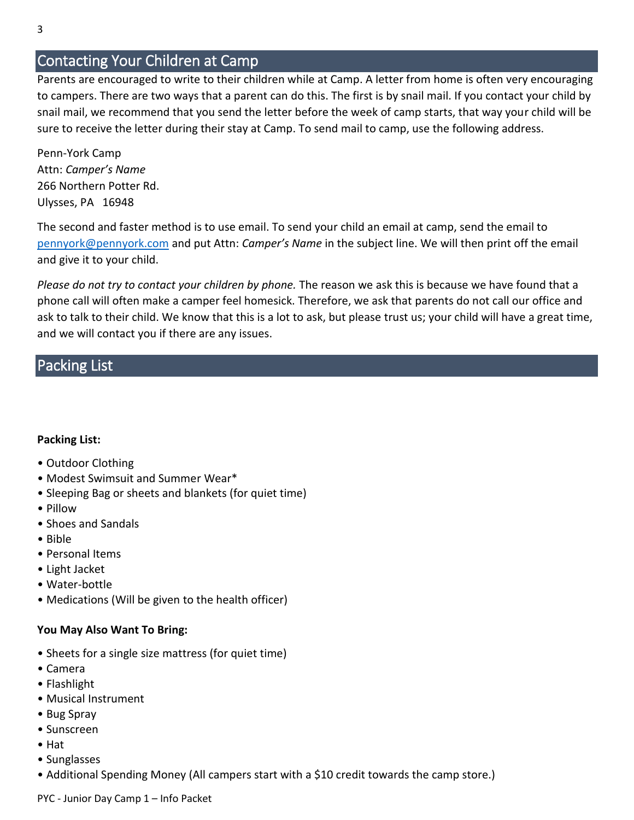### <span id="page-2-0"></span>Contacting Your Children at Camp

Parents are encouraged to write to their children while at Camp. A letter from home is often very encouraging to campers. There are two ways that a parent can do this. The first is by snail mail. If you contact your child by snail mail, we recommend that you send the letter before the week of camp starts, that way your child will be sure to receive the letter during their stay at Camp. To send mail to camp, use the following address.

Penn-York Camp Attn: *Camper's Name* 266 Northern Potter Rd. Ulysses, PA 16948

The second and faster method is to use email. To send your child an email at camp, send the email to [pennyork@pennyork.com](mailto:pennyork@pennyork.com) and put Attn: *Camper's Name* in the subject line. We will then print off the email and give it to your child.

*Please do not try to contact your children by phone.* The reason we ask this is because we have found that a phone call will often make a camper feel homesick. Therefore, we ask that parents do not call our office and ask to talk to their child. We know that this is a lot to ask, but please trust us; your child will have a great time, and we will contact you if there are any issues.

### <span id="page-2-1"></span>Packing List

#### **Packing List:**

- Outdoor Clothing
- Modest Swimsuit and Summer Wear\*
- Sleeping Bag or sheets and blankets (for quiet time)
- Pillow
- Shoes and Sandals
- Bible
- Personal Items
- Light Jacket
- Water-bottle
- Medications (Will be given to the health officer)

#### **You May Also Want To Bring:**

- Sheets for a single size mattress (for quiet time)
- Camera
- Flashlight
- Musical Instrument
- Bug Spray
- Sunscreen
- Hat
- Sunglasses
- Additional Spending Money (All campers start with a \$10 credit towards the camp store.)

PYC - Junior Day Camp 1 – Info Packet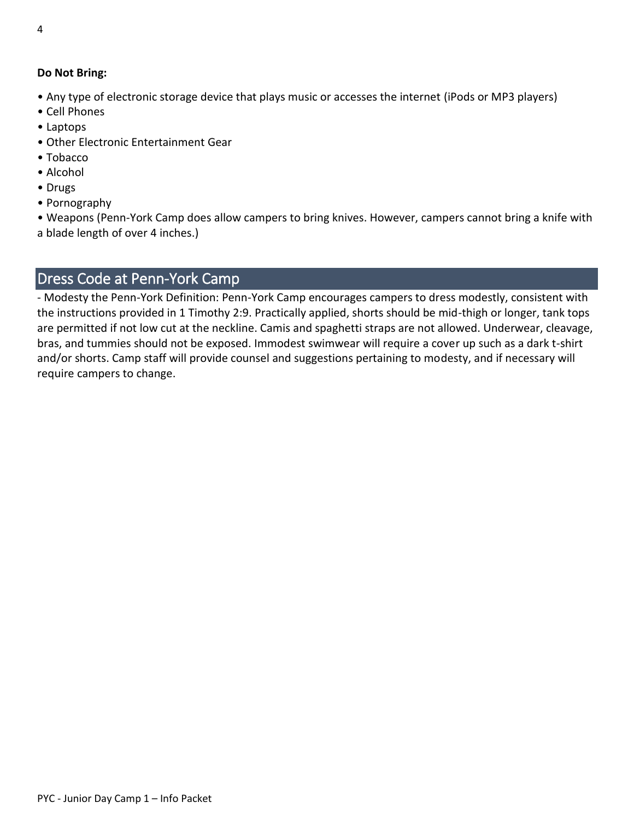#### **Do Not Bring:**

- Any type of electronic storage device that plays music or accesses the internet (iPods or MP3 players)
- Cell Phones
- Laptops
- Other Electronic Entertainment Gear
- Tobacco
- Alcohol
- Drugs
- Pornography

• Weapons (Penn-York Camp does allow campers to bring knives. However, campers cannot bring a knife with a blade length of over 4 inches.)

## <span id="page-3-0"></span>Dress Code at Penn-York Camp

- Modesty the Penn-York Definition: Penn-York Camp encourages campers to dress modestly, consistent with the instructions provided in 1 Timothy 2:9. Practically applied, shorts should be mid-thigh or longer, tank tops are permitted if not low cut at the neckline. Camis and spaghetti straps are not allowed. Underwear, cleavage, bras, and tummies should not be exposed. Immodest swimwear will require a cover up such as a dark t-shirt and/or shorts. Camp staff will provide counsel and suggestions pertaining to modesty, and if necessary will require campers to change.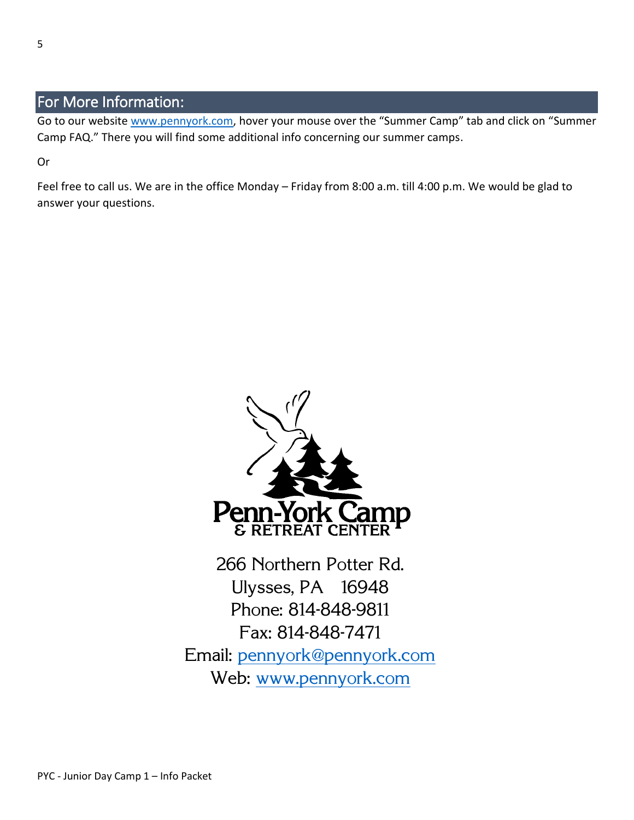## <span id="page-4-0"></span>For More Information:

Go to our website [www.pennyork.com,](http://www.pennyork.com/) hover your mouse over the "Summer Camp" tab and click on "Summer Camp FAQ." There you will find some additional info concerning our summer camps.

Or

Feel free to call us. We are in the office Monday – Friday from 8:00 a.m. till 4:00 p.m. We would be glad to answer your questions.